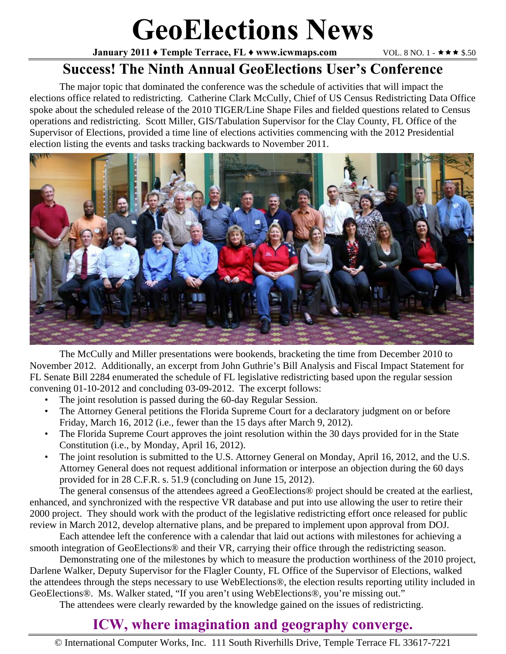# **GeoElections News**

**January 2011 ♦ Temple Terrace, FL ♦ www.icwmaps.com VOL. 8 NO. 1 -**  $\star \star \star$  **\$.50** 

### **Success! The Ninth Annual GeoElections User's Conference**

The major topic that dominated the conference was the schedule of activities that will impact the elections office related to redistricting. Catherine Clark McCully, Chief of US Census Redistricting Data Office spoke about the scheduled release of the 2010 TIGER/Line Shape Files and fielded questions related to Census operations and redistricting. Scott Miller, GIS/Tabulation Supervisor for the Clay County, FL Office of the Supervisor of Elections, provided a time line of elections activities commencing with the 2012 Presidential election listing the events and tasks tracking backwards to November 2011.



 The McCully and Miller presentations were bookends, bracketing the time from December 2010 to November 2012. Additionally, an excerpt from John Guthrie's Bill Analysis and Fiscal Impact Statement for FL Senate Bill 2284 enumerated the schedule of FL legislative redistricting based upon the regular session convening 01-10-2012 and concluding 03-09-2012. The excerpt follows:

- The joint resolution is passed during the 60-day Regular Session.
- The Attorney General petitions the Florida Supreme Court for a declaratory judgment on or before Friday, March 16, 2012 (i.e., fewer than the 15 days after March 9, 2012).
- The Florida Supreme Court approves the joint resolution within the 30 days provided for in the State Constitution (i.e., by Monday, April 16, 2012).
- The joint resolution is submitted to the U.S. Attorney General on Monday, April 16, 2012, and the U.S. Attorney General does not request additional information or interpose an objection during the 60 days provided for in 28 C.F.R. s. 51.9 (concluding on June 15, 2012).

 The general consensus of the attendees agreed a GeoElections® project should be created at the earliest, enhanced, and synchronized with the respective VR database and put into use allowing the user to retire their 2000 project. They should work with the product of the legislative redistricting effort once released for public review in March 2012, develop alternative plans, and be prepared to implement upon approval from DOJ.

 Each attendee left the conference with a calendar that laid out actions with milestones for achieving a smooth integration of GeoElections<sup>®</sup> and their VR, carrying their office through the redistricting season.

 Demonstrating one of the milestones by which to measure the production worthiness of the 2010 project, Darlene Walker, Deputy Supervisor for the Flagler County, FL Office of the Supervisor of Elections, walked the attendees through the steps necessary to use WebElections®, the election results reporting utility included in GeoElections®. Ms. Walker stated, "If you aren't using WebElections®, you're missing out."

The attendees were clearly rewarded by the knowledge gained on the issues of redistricting.

# **ICW, where imagination and geography converge.**